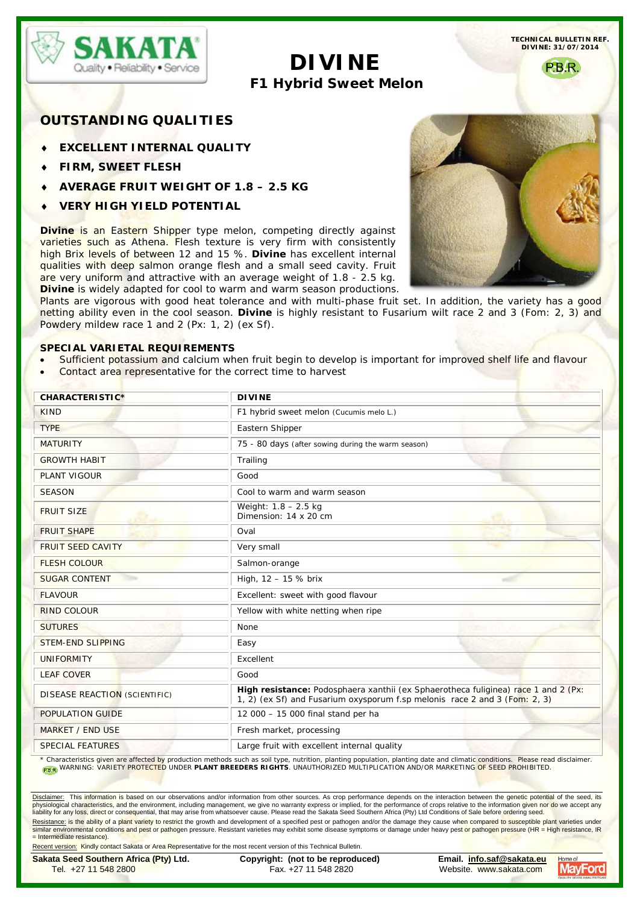

**TECHNICAL BULLETIN REF. DIVINE: 31/07/2014**

# **DIVINE F1 Hybrid Sweet Melon**

PB<sub>R</sub>

## **OUTSTANDING QUALITIES**

- **EXCELLENT INTERNAL QUALITY**
- ♦ **FIRM, SWEET FLESH**
- ♦ **AVERAGE FRUIT WEIGHT OF 1.8 – 2.5 KG**
- ♦ **VERY HIGH YIELD POTENTIAL**

**Divine is an Eastern Shipper type melon, competing directly against** varieties such as Athena. Flesh texture is very firm with consistently high Brix levels of between 12 and 15 %. **Divine** has excellent internal qualities with deep salmon orange flesh and a small seed cavity. Fruit are very uniform and attractive with an average weight of 1.8 - 2.5 kg. **Divine** is widely adapted for cool to warm and warm season productions.

Plants are vigorous with good heat tolerance and with multi-phase fruit set. In addition, the variety has a good netting ability even in the cool season. **Divine** is highly resistant to Fusarium wilt race 2 and 3 (Fom: 2, 3) and Powdery mildew race 1 and 2 (Px: 1, 2) (ex Sf).

### **SPECIAL VARIETAL REQUIREMENTS**

- Sufficient potassium and calcium when fruit begin to develop is important for improved shelf life and flavour
- Contact area representative for the correct time to harvest

| <b>CHARACTERISTIC*</b>               | <b>DIVINE</b>                                                                                                                                                    |
|--------------------------------------|------------------------------------------------------------------------------------------------------------------------------------------------------------------|
| <b>KIND</b>                          | F1 hybrid sweet melon (Cucumis melo L.)                                                                                                                          |
| <b>TYPE</b>                          | Eastern Shipper                                                                                                                                                  |
| <b>MATURITY</b>                      | 75 - 80 days (after sowing during the warm season)                                                                                                               |
| <b>GROWTH HABIT</b>                  | Trailing                                                                                                                                                         |
| <b>PLANT VIGOUR</b>                  | Good                                                                                                                                                             |
| <b>SEASON</b>                        | Cool to warm and warm season                                                                                                                                     |
| <b>FRUIT SIZE</b>                    | Weight: $1.8 - 2.5$ kg<br>Dimension: 14 x 20 cm                                                                                                                  |
| <b>FRUIT SHAPE</b>                   | Oval                                                                                                                                                             |
| <b>FRUIT SEED CAVITY</b>             | Very small                                                                                                                                                       |
| <b>FLESH COLOUR</b>                  | Salmon-orange                                                                                                                                                    |
| <b>SUGAR CONTENT</b>                 | High, 12 - 15 % brix                                                                                                                                             |
| <b>FLAVOUR</b>                       | Excellent: sweet with good flavour                                                                                                                               |
| <b>RIND COLOUR</b>                   | Yellow with white netting when ripe                                                                                                                              |
| <b>SUTURES</b>                       | None                                                                                                                                                             |
| <b>STEM-END SLIPPING</b>             | Easy                                                                                                                                                             |
| <b>UNIFORMITY</b>                    | Excellent                                                                                                                                                        |
| <b>LEAF COVER</b>                    | Good                                                                                                                                                             |
| <b>DISEASE REACTION (SCIENTIFIC)</b> | High resistance: Podosphaera xanthii (ex Sphaerotheca fuliginea) race 1 and 2 (Px:<br>1, 2) (ex Sf) and Fusarium oxysporum f.sp melonis race 2 and 3 (Fom: 2, 3) |
| <b>POPULATION GUIDE</b>              | 12 000 - 15 000 final stand per ha                                                                                                                               |
| <b>MARKET / END USE</b>              | Fresh market, processing                                                                                                                                         |
| <b>SPECIAL FEATURES</b>              | Large fruit with excellent internal quality                                                                                                                      |

\* Characteristics given are affected by production methods such as soil type, nutrition, planting population, planting date and climatic conditions. Please read disclaimer.<br>Ran WARNING: VARIETY PROTECTED UNDER **PLANT BREED** 

Disclaimer: This information is based on our observations and/or information from other sources. As crop performance depends on the interaction between the genetic potential of the seed, its physiological characteristics, and the environment, including management, we give no warranty express or implied, for the performance of crops relative to the information given nor do we accept any liability for any loss, direct or consequential, that may arise from whatsoever cause. Please read the Sakata Seed Southern Africa (Pty) Ltd Conditions of Sale before ordering seed. <u>Resistance:</u> is the ability of a plant variety to restrict the growth and development of a specified pest or pathogen and/or the damage they cause when compared to susceptible plant varieties under<br>similar environmental c = Intermediate resistance).



Recent version: Kindly contact Sakata or Area Representative for the most recent version of this Technical Bulletin. **Sakata Seed Southern Africa (Pty) Ltd. Copyright: (not to be reproduced) Email. [info.saf@sakata.eu](mailto:info.saf@sakata.eu)**